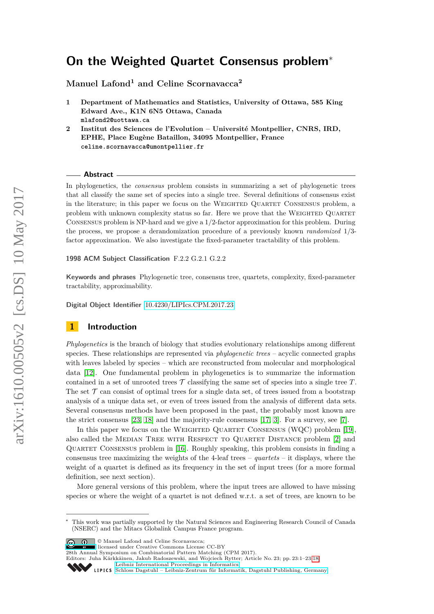# **On the Weighted Quartet Consensus problem**<sup>∗</sup>

**Manuel Lafond<sup>1</sup> and Celine Scornavacca<sup>2</sup>**

- **1 Department of Mathematics and Statistics, University of Ottawa, 585 King Edward Ave., K1N 6N5 Ottawa, Canada mlafond2@uottawa.ca**
- **2 Institut des Sciences de l'Evolution Université Montpellier, CNRS, IRD, EPHE, Place Eugène Bataillon, 34095 Montpellier, France celine.scornavacca@umontpellier.fr**

#### **Abstract**

In phylogenetics, the *consensus* problem consists in summarizing a set of phylogenetic trees that all classify the same set of species into a single tree. Several definitions of consensus exist in the literature; in this paper we focus on the Weighted Quartet Consensus problem, a problem with unknown complexity status so far. Here we prove that the WEIGHTED QUARTET Consensus problem is NP-hard and we give a 1*/*2-factor approximation for this problem. During the process, we propose a derandomization procedure of a previously known *randomized* 1*/*3 factor approximation. We also investigate the fixed-parameter tractability of this problem.

**1998 ACM Subject Classification** F.2.2 G.2.1 G.2.2

**Keywords and phrases** Phylogenetic tree, consensus tree, quartets, complexity, fixed-parameter tractability, approximability.

**Digital Object Identifier** [10.4230/LIPIcs.CPM.2017.23](http://dx.doi.org/10.4230/LIPIcs.CPM.2017.23)

# **1 Introduction**

*Phylogenetics* is the branch of biology that studies evolutionary relationships among different species. These relationships are represented via *phylogenetic trees* – acyclic connected graphs with leaves labeled by species – which are reconstructed from molecular and morphological data [\[12\]](#page-12-0). One fundamental problem in phylogenetics is to summarize the information contained in a set of unrooted trees  $\mathcal T$  classifying the same set of species into a single tree  $T$ . The set  $\mathcal T$  can consist of optimal trees for a single data set, of trees issued from a bootstrap analysis of a unique data set, or even of trees issued from the analysis of different data sets. Several consensus methods have been proposed in the past, the probably most known are the strict consensus [\[23,](#page-13-0) [18\]](#page-12-1) and the majority-rule consensus [\[17,](#page-12-2) [3\]](#page-12-3). For a survey, see [\[7\]](#page-12-4).

In this paper we focus on the WEIGHTED QUARTET CONSENSUS (WQC) problem [\[19\]](#page-12-5). also called the MEDIAN TREE WITH RESPECT TO QUARTET DISTANCE problem [\[2\]](#page-11-0) and Quartet Consensus problem in [\[16\]](#page-12-6). Roughly speaking, this problem consists in finding a consensus tree maximizing the weights of the 4-leaf trees – *quartets* – it displays, where the weight of a quartet is defined as its frequency in the set of input trees (for a more formal definition, see next section).

More general versions of this problem, where the input trees are allowed to have missing species or where the weight of a quartet is not defined w.r.t. a set of trees, are known to be

 $\boxed{\text{c}}$   $\boxed{\text{ }0\quad}$   $\text{ }$  Manuel Lafond and Celine Scornavacca:

licensed under Creative Commons License CC-BY

28th Annual Symposium on Combinatorial Pattern Matching (CPM 2017).

Editors: Juha Kärkkäinen, Jakub Radoszewski, and Wojciech Rytter; Article No. 23; pp. 23:1–23[:18](#page-17-0) [Leibniz International Proceedings in Informatics](http://www.dagstuhl.de/lipics/)

<sup>∗</sup> This work was partially supported by the Natural Sciences and Engineering Research Council of Canada (NSERC) and the Mitacs Globalink Campus France program.

Leibniz International Froceedings in miormatics<br>
LIPICS [Schloss Dagstuhl – Leibniz-Zentrum für Informatik, Dagstuhl Publishing, Germany](http://www.dagstuhl.de)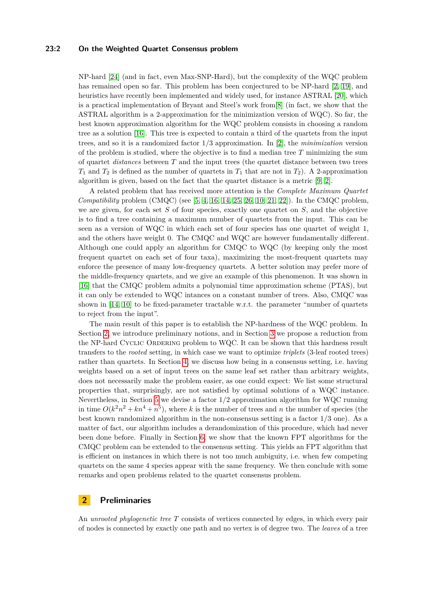### **23:2 On the Weighted Quartet Consensus problem**

NP-hard [\[24\]](#page-13-1) (and in fact, even Max-SNP-Hard), but the complexity of the WQC problem has remained open so far. This problem has been conjectured to be NP-hard [\[2,](#page-11-0) [19\]](#page-12-5), and heuristics have recently been implemented and widely used, for instance ASTRAL [\[20\]](#page-12-7), which is a practical implementation of Bryant and Steel's work from[\[8\]](#page-12-8) (in fact, we show that the ASTRAL algorithm is a 2-approximation for the minimization version of WQC). So far, the best known approximation algorithm for the WQC problem consists in choosing a random tree as a solution [\[16\]](#page-12-6). This tree is expected to contain a third of the quartets from the input trees, and so it is a randomized factor 1*/*3 approximation. In [\[2\]](#page-11-0), the *minimization* version of the problem is studied, where the objective is to find a median tree *T* minimizing the sum of quartet *distances* between *T* and the input trees (the quartet distance between two trees  $T_1$  and  $T_2$  is defined as the number of quartets in  $T_1$  that are not in  $T_2$ ). A 2-approximation algorithm is given, based on the fact that the quartet distance is a metric [\[9,](#page-12-9) [2\]](#page-11-0).

A related problem that has received more attention is the *Complete Maximum Quartet Compatibility* problem (CMQC) (see [\[5,](#page-12-10) [4,](#page-12-11) [16,](#page-12-6) [14,](#page-12-12) [25,](#page-13-2) [26,](#page-13-3) [10,](#page-12-13) [21,](#page-12-14) [22\]](#page-12-15)). In the CMQC problem, we are given, for each set *S* of four species, exactly one quartet on *S*, and the objective is to find a tree containing a maximum number of quartets from the input. This can be seen as a version of WQC in which each set of four species has one quartet of weight 1, and the others have weight 0. The CMQC and WQC are however fundamentally different. Although one could apply an algorithm for CMQC to WQC (by keeping only the most frequent quartet on each set of four taxa), maximizing the most-frequent quartets may enforce the presence of many low-frequency quartets. A better solution may prefer more of the middle-frequency quartets, and we give an example of this phenomenon. It was shown in [\[16\]](#page-12-6) that the CMQC problem admits a polynomial time approximation scheme (PTAS), but it can only be extended to WQC intances on a constant number of trees. Also, CMQC was shown in [\[14,](#page-12-12) [10\]](#page-12-13) to be fixed-parameter tractable w.r.t. the parameter "number of quartets to reject from the input".

The main result of this paper is to establish the NP-hardness of the WQC problem. In Section [2,](#page-1-0) we introduce preliminary notions, and in Section [3](#page-3-0) we propose a reduction from the NP-hard CYCLIC ORDERING problem to WQC. It can be shown that this hardness result transfers to the *rooted* setting, in which case we want to optimize *triplets* (3-leaf rooted trees) rather than quartets. In Section [4,](#page-6-0) we discuss how being in a consensus setting, i.e. having weights based on a set of input trees on the same leaf set rather than arbitrary weights, does not necessarily make the problem easier, as one could expect: We list some structural properties that, surprisingly, are not satisfied by optimal solutions of a WQC instance. Nevertheless, in Section [5](#page-6-1) we devise a factor 1*/*2 approximation algorithm for WQC running in time  $O(k^2n^2 + kn^4 + n^5)$ , where *k* is the number of trees and *n* the number of species (the best known randomized algorithm in the non-consensus setting is a factor 1*/*3 one). As a matter of fact, our algorithm includes a derandomization of this procedure, which had never been done before. Finally in Section [6,](#page-10-0) we show that the known FPT algorithms for the CMQC problem can be extended to the consensus setting. This yields an FPT algorithm that is efficient on instances in which there is not too much ambiguity, i.e. when few competing quartets on the same 4 species appear with the same frequency. We then conclude with some remarks and open problems related to the quartet consensus problem.

# <span id="page-1-0"></span>**2 Preliminaries**

An *unrooted phylogenetic tree T* consists of vertices connected by edges, in which every pair of nodes is connected by exactly one path and no vertex is of degree two. The *leaves* of a tree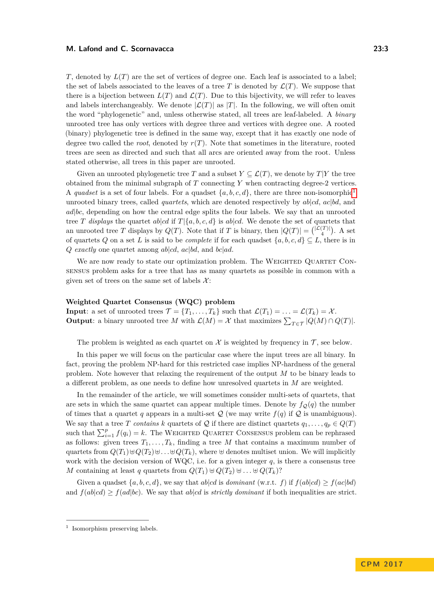*T*, denoted by  $L(T)$  are the set of vertices of degree one. Each leaf is associated to a label; the set of labels associated to the leaves of a tree T is denoted by  $\mathcal{L}(T)$ . We suppose that there is a bijection between  $L(T)$  and  $\mathcal{L}(T)$ . Due to this bijectivity, we will refer to leaves and labels interchangeably. We denote  $|\mathcal{L}(T)|$  as  $|T|$ . In the following, we will often omit the word "phylogenetic" and, unless otherwise stated, all trees are leaf-labeled. A *binary* unrooted tree has only vertices with degree three and vertices with degree one. A rooted (binary) phylogenetic tree is defined in the same way, except that it has exactly one node of degree two called the *root*, denoted by  $r(T)$ . Note that sometimes in the literature, rooted trees are seen as directed and such that all arcs are oriented away from the root. Unless stated otherwise, all trees in this paper are unrooted.

Given an unrooted phylogenetic tree *T* and a subset  $Y \subseteq \mathcal{L}(T)$ , we denote by *T*|*Y* the tree obtained from the minimal subgraph of *T* connecting *Y* when contracting degree-2 vertices. A *quadset* is a set of four labels. For a quadset  $\{a, b, c, d\}$ , there are three non-isomorphic<sup>[1](#page-2-0)</sup> unrooted binary trees, called *quartets*, which are denoted respectively by *ab*|*cd*, *ac*|*bd*, and *ad*|*bc*, depending on how the central edge splits the four labels. We say that an unrooted tree *T* displays the quartet  $ab|cd$  if  $T|\{a, b, c, d\}$  is  $ab|cd$ . We denote the set of quartets that an unrooted tree *T* displays by  $Q(T)$ . Note that if *T* is binary, then  $|Q(T)| = {\binom{|\mathcal{L}(T)|}{4}}$ . A set of quartets *Q* on a set *L* is said to be *complete* if for each quadset  $\{a, b, c, d\} \subseteq L$ , there is in *Q exactly* one quartet among *ab*|*cd*, *ac*|*bd*, and *bc*|*ad*.

We are now ready to state our optimization problem. The WEIGHTED QUARTET CONsensus problem asks for a tree that has as many quartets as possible in common with a given set of trees on the same set of labels  $\mathcal{X}$ :

#### **Weighted Quartet Consensus (WQC) problem**

**Input**: a set of unrooted trees  $\mathcal{T} = \{T_1, \ldots, T_k\}$  such that  $\mathcal{L}(T_1) = \ldots = \mathcal{L}(T_k) = \mathcal{X}$ . **Output**: a binary unrooted tree *M* with  $\mathcal{L}(M) = \mathcal{X}$  that maximizes  $\sum_{T \in \mathcal{T}} |Q(M) \cap Q(T)|$ .

The problem is weighted as each quartet on  $\mathcal X$  is weighted by frequency in  $\mathcal T$ , see below.

In this paper we will focus on the particular case where the input trees are all binary. In fact, proving the problem NP-hard for this restricted case implies NP-hardness of the general problem. Note however that relaxing the requirement of the output *M* to be binary leads to a different problem, as one needs to define how unresolved quartets in *M* are weighted.

In the remainder of the article, we will sometimes consider multi-sets of quartets, that are sets in which the same quartet can appear multiple times. Denote by  $f_{\mathcal{O}}(q)$  the number of times that a quartet *q* appears in a multi-set  $Q$  (we may write  $f(q)$  if  $Q$  is unambiguous). We say that a tree *T* contains *k* quartets of  $Q$  if there are distinct quartets  $q_1, \ldots, q_p \in Q(T)$ such that  $\sum_{i=1}^{p} f(q_i) = k$ . The WEIGHTED QUARTET CONSENSUS problem can be rephrased as follows: given trees  $T_1, \ldots, T_k$ , finding a tree M that contains a maximum number of quartets from  $Q(T_1) \oplus Q(T_2) \oplus \ldots \oplus Q(T_k)$ , where  $\oplus$  denotes multiset union. We will implicitly work with the decision version of WQC, i.e. for a given integer  $q$ , is there a consensus tree *M* containing at least *q* quartets from  $Q(T_1) \oplus Q(T_2) \oplus \ldots \oplus Q(T_k)$ ?

Given a quadset  $\{a, b, c, d\}$ , we say that *ab*|*cd* is *dominant* (w.r.t. *f*) if  $f(ab|cd) \ge f(ac|bd)$ and  $f(ab|cd) > f(ad|bc)$ . We say that  $ab|cd$  is *strictly dominant* if both inequalities are strict.

<span id="page-2-0"></span><sup>&</sup>lt;sup>1</sup> Isomorphism preserving labels.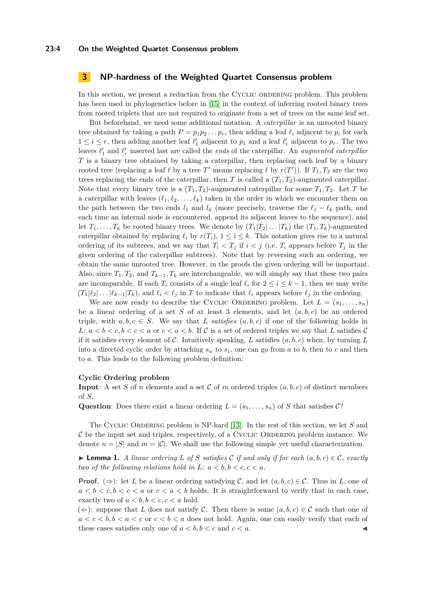### <span id="page-3-0"></span>**3 NP-hardness of the Weighted Quartet Consensus problem**

In this section, we present a reduction from the CYCLIC ORDERING problem. This problem has been used in phylogenetics before in [\[15\]](#page-12-16) in the context of inferring rooted binary trees from rooted triplets that are not required to originate from a set of trees on the same leaf set.

But beforehand, we need some additional notation. A *caterpillar* is an unrooted binary tree obtained by taking a path  $P = p_1 p_2 \ldots p_r$ , then adding a leaf  $\ell_i$  adjacent to  $p_i$  for each  $1 \leq i \leq r$ , then adding another leaf  $\ell'_1$  adjacent to  $p_1$  and a leaf  $\ell'_r$  adjacent to  $p_r$ . The two leaves  $\ell'_1$  and  $\ell'_r$  inserted last are called the *ends* of the caterpillar. An *augmented caterpillar T* is a binary tree obtained by taking a caterpillar, then replacing each leaf by a binary rooted tree (replacing a leaf  $\ell$  by a tree  $T'$  means replacing  $\ell$  by  $r(T')$ ). If  $T_1, T_2$  are the two trees replacing the ends of the caterpillar, then *T* is called a  $(T_1, T_2)$ -augmented caterpillar. Note that every binary tree is a  $(T_1, T_2)$ -augmented caterpillar for some  $T_1, T_2$ . Let *T* be a caterpillar with leaves  $(\ell_1, \ell_2, \ldots, \ell_k)$  taken in the order in which we encounter them on the path between the two ends  $l_1$  and  $l_k$  (more precisely, traverse the  $\ell_1 - \ell_k$  path, and each time an internal node is encountered, append its adjacent leaves to the sequence), and let  $T_1, \ldots, T_k$  be rooted binary trees. We denote by  $(T_1|T_2|\ldots|T_k)$  the  $(T_1, T_k)$ -augmented caterpillar obtained by replacing  $\ell_i$  by  $r(T_i)$ ,  $1 \leq i \leq k$ . This notation gives rise to a natural ordering of its subtrees, and we say that  $T_i < T_j$  if  $i < j$  (i.e.  $T_i$  appears before  $T_j$  in the given ordering of the caterpillar subtrees). Note that by reversing such an ordering, we obtain the same unrooted tree. However, in the proofs the given ordering will be important. Also, since  $T_1, T_2$ , and  $T_{k-1}, T_k$  are interchangeable, we will simply say that these two pairs are incomparable. If each  $T_i$  consists of a single leaf  $\ell_i$  for  $2 \leq i \leq k-1$ , then we may write  $(T_1|\ell_2| \dots |\ell_{k-1}|T_k)$ , and  $\ell_i < \ell_j$  in *T* to indicate that  $\ell_i$  appears before  $\ell_j$  in the ordering.

We are now ready to describe the CYCLIC ORDERING problem. Let  $L = (s_1, \ldots, s_n)$ be a linear ordering of a set  $S$  of at least 3 elements, and let  $(a, b, c)$  be an ordered triple, with  $a, b, c \in S$ . We say that *L satisfies*  $(a, b, c)$  if one of the following holds in *L*:  $a < b < c, b < c < a$  or  $c < a < b$ . If C is a set of ordered triples we say that L satisfies C if it satisfies every element of C. Intuitively speaking, L satisfies  $(a, b, c)$  when, by turning L into a directed cyclic order by attaching  $s_n$  to  $s_1$ , one can go from *a* to *b*, then to *c* and then to *a*. This leads to the following problem definition:

#### **Cyclic Ordering problem**

**Input**: A set *S* of *n* elements and a set C of *m* ordered triples  $(a, b, c)$  of distinct members of *S*.

**Question**: Does there exist a linear ordering  $L = (s_1, \ldots, s_n)$  of *S* that satisfies C?

The Cyclic ORDERING problem is NP-hard [\[13\]](#page-12-17). In the rest of this section, we let *S* and  $C$  be the input set and triples, respectively, of a CYCLIC ORDERING problem instance. We denote  $n = |S|$  and  $m = |\mathcal{C}|$ . We shall use the following simple yet useful characterization.

<span id="page-3-1"></span>**Lemma 1.** *A linear ordering L* of *S* satisfies C if and only if for each  $(a, b, c) \in \mathcal{C}$ , exactly *two of the following relations hold in L:*  $a < b, b < c, c < a$ .

**Proof.** ( $\Rightarrow$ ): let *L* be a linear ordering satisfying *C*, and let  $(a, b, c) \in C$ . Thus in *L*, one of  $a < b < c, b < c < a$  or  $c < a < b$  holds. It is straightforward to verify that in each case, exactly two of  $a < b, b < c, c < a$  hold.

 $(\Leftarrow)$ : suppose that *L* does not satisfy *C*. Then there is some  $(a, b, c) \in C$  such that one of  $a < c < b, b < a < c$  or  $c < b < a$  does not hold. Again, one can easily verify that each of these cases satisfies only one of  $a < b, b < c$  and  $c < a$ .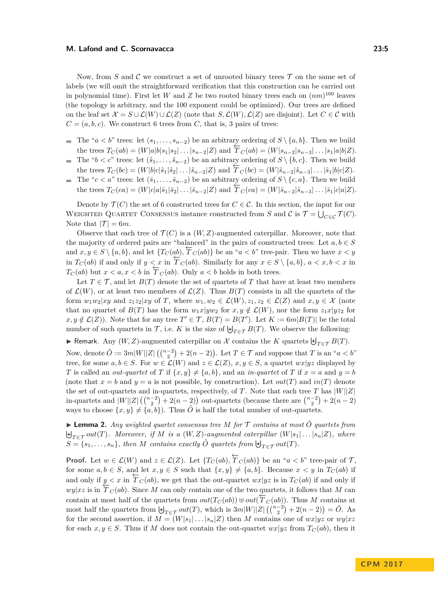Now, from *S* and *C* we construct a set of unrooted binary trees  $\mathcal T$  on the same set of labels (we will omit the straightforward verification that this construction can be carried out in polynomial time). First let *W* and *Z* be two rooted binary trees each on  $(nm)^{100}$  leaves (the topology is arbitrary, and the 100 exponent could be optimized). Our trees are defined on the leaf set  $\mathcal{X} = S \cup \mathcal{L}(W) \cup \mathcal{L}(Z)$  (note that  $S, \mathcal{L}(W), \mathcal{L}(Z)$  are disjoint). Let  $C \in \mathcal{C}$  with  $C = (a, b, c)$ . We construct 6 trees from *C*, that is, 3 pairs of trees:

- The " $a < b$ " trees: let  $(s_1, \ldots, s_{n-2})$  be an arbitrary ordering of  $S \setminus \{a, b\}$ . Then we build the trees  $T_C(ab) = (W|a|b|s_1|s_2|...|s_{n-2}|Z)$  and  $\overline{T}_C(ab) = (W|s_{n-2}|s_{n-3}|...|s_1|a|b|Z)$ .
- The " $b < c$ " trees: let  $(\hat{s}_1, \ldots, \hat{s}_{n-2})$  be an arbitrary ordering of  $S \setminus \{b, c\}$ . Then we build  $\rightarrow$ the trees  $T_C(bc) = (W|b|c|\hat{s}_1|\hat{s}_2|...|\hat{s}_{n-2}|Z)$  and  $\overline{T}_C(bc) = (W|\hat{s}_{n-2}|\hat{s}_{n-3}|...|\hat{s}_1|b|c|Z).$
- The " $c < a$ " trees: let  $(\bar{s}_1, \ldots, \bar{s}_{n-2})$  be an arbitrary ordering of  $S \setminus \{c, a\}$ . Then we build  $\blacksquare$ the trees  $T_C(ca) = (W|c|a|\bar{s}_1|\bar{s}_2|...|\bar{s}_{n-2}|Z)$  and  $\overline{T}_C(ca) = (W|\bar{s}_{n-2}|\bar{s}_{n-3}|...|\bar{s}_1|c|a|Z)$ .

Denote by  $\mathcal{T}(C)$  the set of 6 constructed trees for  $C \in \mathcal{C}$ . In this section, the input for our WEIGHTED QUARTET CONSENSUS instance constructed from *S* and *C* is  $\mathcal{T} = \bigcup_{C \in \mathcal{C}} \mathcal{T}(C)$ . Note that  $|\mathcal{T}| = 6m$ .

Observe that each tree of  $\mathcal{T}(C)$  is a  $(W, Z)$ -augmented caterpillar. Moreover, note that the majority of ordered pairs are "balanced" in the pairs of constructed trees: Let  $a, b \in S$ and  $x, y \in S \setminus \{a, b\}$ , and let  $\{T_C(ab), \overline{T}_C(ab)\}$  be an "*a* < *b*" tree-pair. Then we have  $x < y$ in  $T_C(ab)$  if and only if  $y < x$  in  $\overline{T}_C(ab)$ . Similarly for any  $x \in S \setminus \{a, b\}$ ,  $a < x, b < x$  in  $T_C(ab)$  but  $x < a, x < b$  in  $\overline{T}_C(ab)$ . Only  $a < b$  holds in both trees.

Let  $T \in \mathcal{T}$ , and let  $B(T)$  denote the set of quartets of *T* that have at least two members of  $\mathcal{L}(W)$ , or at least two members of  $\mathcal{L}(Z)$ . Thus  $B(T)$  consists in all the quartets of the form  $w_1w_2|xy$  and  $z_1z_2|xy$  of *T*, where  $w_1, w_2 \in \mathcal{L}(W), z_1, z_2 \in \mathcal{L}(Z)$  and  $x, y \in \mathcal{X}$  (note that no quartet of  $B(T)$  has the form  $w_1x|yw_2$  for  $x, y \notin \mathcal{L}(W)$ , nor the form  $z_1x|yz_2$  for  $x, y \notin \mathcal{L}(Z)$ ). Note that for any tree  $T' \in \mathcal{T}$ ,  $B(T) = B(T')$ . Let  $K := 6m|B(T)|$  be the total number of such quartets in  $\mathcal{T}$ , i.e. *K* is the size of  $\biguplus_{T \in \mathcal{T}} B(T)$ . We observe the following:

► Remark. Any  $(W, Z)$ -augmented caterpillar on  $X$  contains the  $K$  quartets  $\biguplus_{T \in \mathcal{T}} B(T)$ .

Now, denote  $\hat{O} := 3m|W||Z| \left( \binom{n-2}{2} + 2(n-2) \right)$ . Let  $T \in \mathcal{T}$  and suppose that  $T$  is an " $a < b$ " tree, for some  $a, b \in S$ . For  $w \in \mathcal{L}(W)$  and  $z \in \mathcal{L}(Z)$ ,  $x, y \in S$ , a quartet  $wx|yz$  displayed by *T* is called an *out-quartet* of *T* if  $\{x, y\} \neq \{a, b\}$ , and an *in-quartet* of *T* if  $x = a$  and  $y = b$ (note that  $x = b$  and  $y = a$  is not possible, by construction). Let  $out(T)$  and  $in(T)$  denote the set of out-quartets and in-quartets, respectively, of  $T$ . Note that each tree  $T$  has  $|W||Z|$ in-quartets and  $|W||Z|(\binom{n-2}{2}+2(n-2))$  out-quartets (because there are  $\binom{n-2}{2}+2(n-2)$ ways to choose  $\{x, y\} \neq \{a, b\}$ . Thus  $\hat{O}$  is half the total number of out-quartets.

<span id="page-4-0"></span>▶ **Lemma 2.** *Any weighted quartet consensus tree M for*  $\mathcal T$  *contains at most*  $\hat O$  *quartets from*  $\biguplus_{T \in \mathcal{T}} out(T)$ *. Moreover, if M is a*  $(W, Z)$ -*augmented caterpillar*  $(W|s_1| \dots |s_n|Z)$ *, where*  $S = \{s_1, \ldots, s_n\}$ , then *M* contains exactly  $\hat{O}$  quartets from  $\biguplus_{T \in \mathcal{T}} out(T)$ .

**Proof.** Let  $w \in \mathcal{L}(W)$  and  $z \in \mathcal{L}(Z)$ . Let  $\{T_C(ab), \overleftarrow{T}_C(ab)\}$  be an " $a < b$ " tree-pair of  $\mathcal{T}$ , for some  $a, b \in S$ , and let  $x, y \in S$  such that  $\{x, y\} \neq \{a, b\}$ . Because  $x < y$  in  $T_C(ab)$  if and only if  $y < x$  in  $\overline{T}_C(ab)$ , we get that the out-quartet  $wx|yz$  is in  $T_C(ab)$  if and only if *wy*|*xz* is in  $\overline{T}_C(ab)$ . Since *M* can only contain one of the two quartets, it follows that *M* can contain at most half of the quartets from  $out(T_C(ab)) \oplus out(\overline{T}_C(ab))$ . Thus *M* contains at most half the quartets from  $\biguplus_{T \in \mathcal{T}} out(T)$ , which is  $3m|W||Z|(\binom{n-2}{2} + 2(n-2)) = \hat{O}$ . As for the second assertion, if  $M = (W|s_1| \dots |s_n|Z)$  then M contains one of  $wx|yz$  or  $wy|xz$ for each  $x, y \in S$ . Thus if M does not contain the out-quartet  $wx|yz$  from  $T_C(ab)$ , then it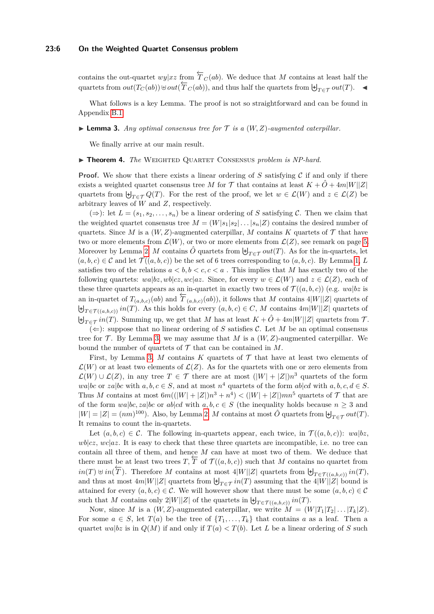### **23:6 On the Weighted Quartet Consensus problem**

contains the out-quartet  $wy|xz$  from  $\overleftarrow{T}_C(ab)$ . We deduce that *M* contains at least half the  $\alpha$  denotes from  $out(T_C(ab)) \oplus out(\overline{T}_C(ab))$ , and thus half the quartets from  $\biguplus_{T \in \mathcal{T}} out(T)$ .

What follows is a key Lemma. The proof is not so straightforward and can be found in Appendix [B.1.](#page-14-0)

<span id="page-5-0"></span>**I Lemma 3.** Any optimal consensus tree for  $\mathcal{T}$  is a  $(W, Z)$ -augmented caterpillar.

We finally arrive at our main result.

#### ▶ **Theorem 4.** *The* WEIGHTED QUARTET CONSENSUS *problem is NP-hard.*

**Proof.** We show that there exists a linear ordering of  $S$  satisfying  $C$  if and only if there exists a weighted quartet consensus tree *M* for  $\mathcal{T}$  that contains at least  $K + \hat{O} + 4m|W||Z|$ quartets from  $\biguplus_{T \in \mathcal{T}} Q(T)$ . For the rest of the proof, we let  $w \in \mathcal{L}(W)$  and  $z \in \mathcal{L}(Z)$  be arbitrary leaves of *W* and *Z*, respectively.

(⇒): let  $L = (s_1, s_2, \ldots, s_n)$  be a linear ordering of *S* satisfying *C*. Then we claim that the weighted quartet consensus tree  $M = (W|s_1|s_2| \dots |s_n|Z)$  contains the desired number of quartets. Since *M* is a  $(W, Z)$ -augmented caterpillar, *M* contains *K* quartets of  $T$  that have two or more elements from  $\mathcal{L}(W)$ , or two or more elements from  $\mathcal{L}(Z)$ , see remark on page [5.](#page-3-1) Moreover by Lemma [2,](#page-4-0) *M* contains  $\hat{O}$  quartets from  $\biguplus_{T \in \mathcal{T}} out(T)$ . As for the in-quartets, let  $(a, b, c) \in \mathcal{C}$  and let  $\mathcal{T}((a, b, c))$  be the set of 6 trees corresponding to  $(a, b, c)$ . By Lemma [1,](#page-3-1) *L* satisfies two of the relations  $a < b, b < c, c < a$ . This implies that M has exactly two of the following quartets:  $wabz, wbc|cz, wc|az$ . Since, for every  $w \in \mathcal{L}(W)$  and  $z \in \mathcal{L}(Z)$ , each of these three quartets appears as an in-quartet in exactly two trees of  $\mathcal{T}((a, b, c))$  (e.g. *wa*|*bz* is an in-quartet of  $T_{(a,b,c)}(ab)$  and  $\overline{T}_{(a,b,c)}(ab)$ ), it follows that *M* contains  $4|W||Z|$  quartets of  $\biguplus_{T \in \mathcal{T}((a,b,c))} in(T)$ . As this holds for every  $(a,b,c) \in C$ , M contains  $4m|W||Z|$  quartets of  $\biguplus_{T \in \mathcal{T}} in(T)$ . Summing up, we get that *M* has at least  $K + \hat{O} + 4m|W||Z|$  quartets from  $\mathcal{T}$ .

 $(\Leftarrow)$ : suppose that no linear ordering of *S* satisfies *C*. Let *M* be an optimal consensus tree for  $\mathcal T$ . By Lemma [3,](#page-5-0) we may assume that  $M$  is a  $(W, Z)$ -augmented caterpillar. We bound the number of quartets of  $\mathcal T$  that can be contained in  $M$ .

First, by Lemma [3,](#page-5-0)  $M$  contains  $K$  quartets of  $\mathcal T$  that have at least two elements of  $\mathcal{L}(W)$  or at least two elements of  $\mathcal{L}(Z)$ . As for the quartets with one or zero elements from  $\mathcal{L}(W) \cup \mathcal{L}(Z)$ , in any tree *T* ∈ *T* there are at most  $(|W| + |Z|)n^3$  quartets of the form *wa*|*bc* or *za*|*bc* with *a, b, c*  $\in$  *S*, and at most *n*<sup>4</sup> quartets of the form *ab*|*cd* with *a, b, c, d*  $\in$  *S*. Thus *M* contains at most  $6m((|W|+|Z|)n^3+n^4) < (|W|+|Z|)mn^5$  quartets of  $\mathcal T$  that are of the form  $wa|bc, za|bc$  or  $ab|cd$  with  $a, b, c \in S$  (the inequality holds because  $n \geq 3$  and  $|W| = |Z| = (nm)^{100}$ . Also, by Lemma [2,](#page-4-0) *M* contains at most  $\hat{O}$  quartets from  $\biguplus_{T \in \mathcal{T}} out(T)$ . It remains to count the in-quartets.

Let  $(a, b, c) \in \mathcal{C}$ . The following in-quartets appear, each twice, in  $\mathcal{T}((a, b, c))$ : *wa*|*bz*,  $wb|cz, wc|az$ . It is easy to check that these three quartets are incompatible, i.e. no tree can contain all three of them, and hence *M* can have at most two of them. We deduce that there must be at least two trees  $T$ ,  $\overline{T}$  of  $\mathcal{T}((a, b, c))$  such that *M* contains no quartet from  $in(T) \oplus in(\overline{T})$ . Therefore *M* contains at most 4|*W*||*Z*| quartets from  $\biguplus_{T \in \mathcal{T}((a,b,c))} in(T)$ , and thus at most  $4m|W||Z|$  quartets from  $\biguplus_{T \in \mathcal{T}} in(T)$  assuming that the  $4|W||Z|$  bound is attained for every  $(a, b, c) \in \mathcal{C}$ . We will however show that there must be some  $(a, b, c) \in \mathcal{C}$ such that *M* contains only  $2|W||Z|$  of the quartets in  $\biguplus_{T \in \mathcal{T}((a,b,c))} in(T)$ .

Now, since *M* is a  $(W, Z)$ -augmented caterpillar, we write  $M = (W|T_1|T_2|...|T_k|Z)$ . For some  $a \in S$ , let  $T(a)$  be the tree of  $\{T_1, \ldots, T_k\}$  that contains a as a leaf. Then a quartet  $wa|bz$  is in  $Q(M)$  if and only if  $T(a) < T(b)$ . Let *L* be a linear ordering of *S* such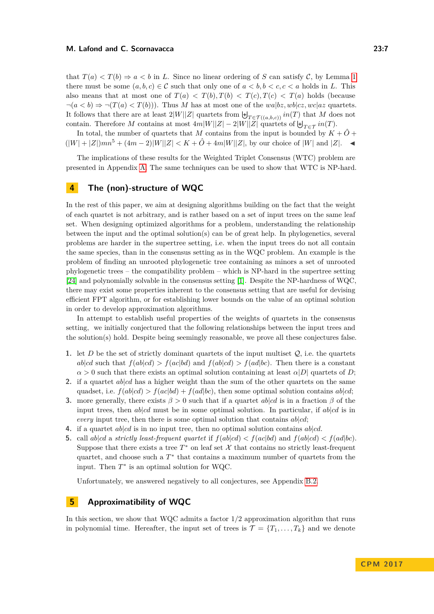that  $T(a) < T(b) \Rightarrow a < b$  in L. Since no linear ordering of S can satisfy C, by Lemma [1](#page-3-1) there must be some  $(a, b, c) \in \mathcal{C}$  such that only one of  $a < b, b < c, c < a$  holds in L. This also means that at most one of  $T(a) < T(b)$ ,  $T(b) < T(c) < T(a)$  holds (because  $\neg(a < b) \Rightarrow \neg(T(a) < T(b))$ . Thus *M* has at most one of the *wa*|*bz*, *wb*|*cz*, *wc*|*az* quartets. It follows that there are at least  $2|W||Z|$  quartets from  $\biguplus_{T \in \mathcal{T}((a,b,c))} in(T)$  that M does not contain. Therefore *M* contains at most  $4m|W||Z| - 2|W||Z|$  quartets of  $\biguplus_{T \in \mathcal{T}} in(T)$ .

In total, the number of quartets that  $M$  contains from the input is bounded by  $K + \ddot{O} +$  $(|W| + |Z|)mn^5 + (4m-2)|W||Z| < K + \hat{O} + 4m|W||Z|$ , by our choice of |W| and |Z|. ◄

The implications of these results for the Weighted Triplet Consensus (WTC) problem are presented in Appendix [A.](#page-13-4) The same techniques can be used to show that WTC is NP-hard.

# <span id="page-6-0"></span>**4 The (non)-structure of WQC**

In the rest of this paper, we aim at designing algorithms building on the fact that the weight of each quartet is not arbitrary, and is rather based on a set of input trees on the same leaf set. When designing optimized algorithms for a problem, understanding the relationship between the input and the optimal solution(s) can be of great help. In phylogenetics, several problems are harder in the supertree setting, i.e. when the input trees do not all contain the same species, than in the consensus setting as in the WQC problem. An example is the problem of finding an unrooted phylogenetic tree containing as minors a set of unrooted phylogenetic trees – the compatibility problem – which is NP-hard in the supertree setting [\[24\]](#page-13-1) and polynomially solvable in the consensus setting [\[1\]](#page-11-1). Despite the NP-hardness of WQC, there may exist some properties inherent to the consensus setting that are useful for devising efficient FPT algorithm, or for establishing lower bounds on the value of an optimal solution in order to develop approximation algorithms.

In attempt to establish useful properties of the weights of quartets in the consensus setting, we initially conjectured that the following relationships between the input trees and the solution(s) hold. Despite being seemingly reasonable, we prove all these conjectures false.

- **1.** let *D* be the set of strictly dominant quartets of the input multiset  $Q$ , i.e. the quartets  $a b | cd$  such that  $f(ab | cd) > f(ac | bd)$  and  $f(ab | cd) > f(ad | bc)$ . Then there is a constant  $\alpha > 0$  such that there exists an optimal solution containing at least  $\alpha|D|$  quartets of *D*;
- **2.** if a quartet *ab*|*cd* has a higher weight than the sum of the other quartets on the same quadset, i.e.  $f(ab|cd) > f(ac|bd) + f(ad|bc)$ , then some optimal solution contains  $ab|cd;$
- **3.** more generally, there exists  $\beta > 0$  such that if a quartet *ab*|*cd* is in a fraction  $\beta$  of the input trees, then  $ab|cd$  must be in some optimal solution. In particular, if  $ab|cd$  is in *every* input tree, then there is some optimal solution that contains  $ab|cd$ ;
- **4.** if a quartet *ab*|*cd* is in no input tree, then no optimal solution contains *ab*|*cd*.
- **5.** call  $ab|cd$  a *strictly least-frequent quartet* if  $f(ab|cd) < f(ac|bd)$  and  $f(ab|cd) < f(ad|bc)$ . Suppose that there exists a tree  $T^*$  on leaf set  $\mathcal X$  that contains no strictly least-frequent quartet, and choose such a  $T^*$  that contains a maximum number of quartets from the input. Then  $T^*$  is an optimal solution for WQC.

Unfortunately, we answered negatively to all conjectures, see Appendix [B.2.](#page-15-0)

### <span id="page-6-1"></span>**5 Approximatibility of WQC**

In this section, we show that WQC admits a factor 1*/*2 approximation algorithm that runs in polynomial time. Hereafter, the input set of trees is  $\mathcal{T} = \{T_1, \ldots, T_k\}$  and we denote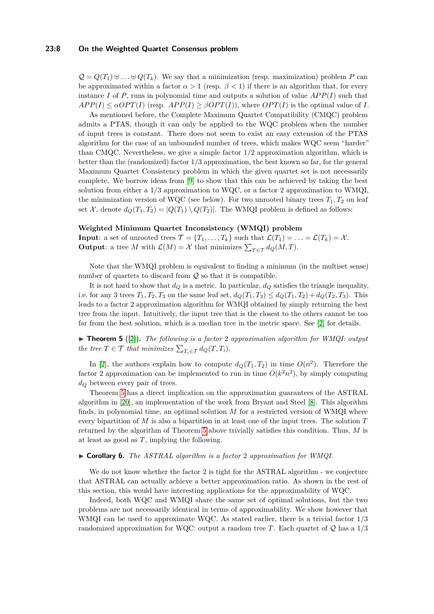#### **23:8 On the Weighted Quartet Consensus problem**

 $Q = Q(T_1) \oplus \ldots \oplus Q(T_k)$ . We say that a minimization (resp. maximization) problem *P* can be approximated within a factor  $\alpha > 1$  (resp.  $\beta < 1$ ) if there is an algorithm that, for every instance *I* of *P*, runs in polynomial time and outputs a solution of value  $APP(I)$  such that  $APP(I) \leq \alpha OPT(I)$  (resp.  $APP(I) \geq \beta OPT(I)$ ), where  $OPT(I)$  is the optimal value of *I*.

As mentioned before, the Complete Maximum Quartet Compatibility (CMQC) problem admits a PTAS, though it can only be applied to the WQC problem when the number of input trees is constant. There does not seem to exist an easy extension of the PTAS algorithm for the case of an unbounded number of trees, which makes WQC seem "harder" than CMQC. Nevertheless, we give a simple factor 1*/*2 approximation algorithm, which is better than the (randomized) factor 1*/*3 approximation, the best known so far, for the general Maximum Quartet Consistency problem in which the given quartet set is not necessarily complete. We borrow ideas from [\[9\]](#page-12-9) to show that this can be achieved by taking the best solution from either a 1*/*3 approximation to WQC, or a factor 2 approximation to WMQI, the minimization version of WQC (see below). For two unrooted binary trees  $T_1, T_2$  on leaf set X, denote  $d_Q(T_1, T_2) = |Q(T_1) \setminus Q(T_2)|$ . The WMQI problem is defined as follows:

#### **Weighted Minimum Quartet Inconsistency (WMQI) problem**

**Input**: a set of unrooted trees  $\mathcal{T} = \{T_1, \ldots, T_k\}$  such that  $\mathcal{L}(T_1) = \ldots = \mathcal{L}(T_k) = \mathcal{X}$ . **Output**: a tree *M* with  $\mathcal{L}(M) = \mathcal{X}$  that minimizes  $\sum_{T \in \mathcal{T}} d_Q(M, T)$ .

Note that the WMQI problem is equivalent to finding a minimum (in the multiset sense) number of quartets to discard from  $Q$  so that it is compatible.

It is not hard to show that  $d<sub>O</sub>$  is a metric. In particular,  $d<sub>O</sub>$  satisfies the triangle inequality, i.e. for any 3 trees  $T_1, T_2, T_3$  on the same leaf set,  $d_Q(T_1, T_3) \leq d_Q(T_1, T_2) + d_Q(T_2, T_3)$ . This leads to a factor 2 approximation algorithm for WMQI obtained by simply returning the best tree from the input. Intuitively, the input tree that is the closest to the others cannot be too far from the best solution, which is a median tree in the metric space. See [\[2\]](#page-11-0) for details.

<span id="page-7-0"></span>▶ **Theorem 5** ([\[2\]](#page-11-0)). *The following is a factor* 2 *approximation algorithm for WMQI: output the tree*  $T \in \mathcal{T}$  *that minimizes*  $\sum_{T_i \in \mathcal{T}} d_Q(T, T_i)$ *.* 

In [\[2\]](#page-11-0), the authors explain how to compute  $d_Q(T_1, T_2)$  in time  $O(n^2)$ . Therefore the factor 2 approximation can be implemented to run in time  $O(k^2n^2)$ , by simply computing *d<sup>Q</sup>* between every pair of trees.

Theorem [5](#page-7-0) has a direct implication on the approximation guarantees of the ASTRAL algorithm in [\[20\]](#page-12-7), an implementation of the work from Bryant and Steel [\[8\]](#page-12-8). This algorithm finds, in polynomial time, an optimal solution *M* for a restricted version of WMQI where every bipartition of *M* is also a bipartition in at least one of the input trees. The solution *T* returned by the algorithm of Theorem [5](#page-7-0) above trivially satisfies this condition. Thus, *M* is at least as good as *T*, implying the following.

#### I **Corollary 6.** *The ASTRAL algorithm is a factor* 2 *approximation for WMQI.*

We do not know whether the factor 2 is tight for the ASTRAL algorithm - we conjecture that ASTRAL can actually achieve a better approximation ratio. As shown in the rest of this section, this would have interesting applications for the approximability of WQC.

Indeed, both WQC and WMQI share the same set of optimal solutions, but the two problems are not necessarily identical in terms of approximability. We show however that WMQI can be used to approximate WQC. As stated earlier, there is a trivial factor 1*/*3 randomized approximation for WQC: output a random tree *T*. Each quartet of Q has a 1*/*3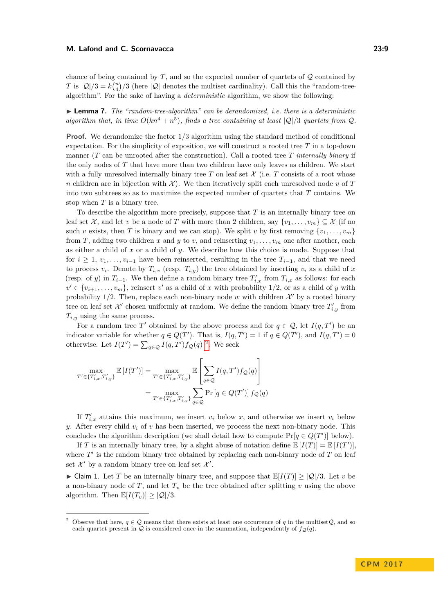chance of being contained by  $T$ , and so the expected number of quartets of  $\mathcal Q$  contained by *T* is  $|Q|/3 = k {n \choose 4}/3$  (here  $|Q|$  denotes the multiset cardinality). Call this the "random-treealgorithm". For the sake of having a *deterministic* algorithm, we show the following:

<span id="page-8-2"></span> $\blacktriangleright$  **Lemma 7.** *The "random-tree-algorithm" can be derandomized, i.e. there is a deterministic algorithm that, in time*  $O(kn^4 + n^5)$ *, finds a tree containing at least*  $|Q|/3$  *quartets from*  $Q$ *.* 

**Proof.** We derandomize the factor  $1/3$  algorithm using the standard method of conditional expectation. For the simplicity of exposition, we will construct a rooted tree *T* in a top-down manner (*T* can be unrooted after the construction). Call a rooted tree *T internally binary* if the only nodes of *T* that have more than two children have only leaves as children. We start with a fully unresolved internally binary tree  $T$  on leaf set  $\mathcal X$  (i.e.  $T$  consists of a root whose *n* children are in bijection with  $\mathcal{X}$ ). We then iteratively split each unresolved node *v* of *T* into two subtrees so as to maximize the expected number of quartets that *T* contains. We stop when *T* is a binary tree.

To describe the algorithm more precisely, suppose that *T* is an internally binary tree on leaf set  $\mathcal{X}$ , and let *v* be a node of *T* with more than 2 children, say  $\{v_1, \ldots, v_m\} \subseteq \mathcal{X}$  (if no such *v* exists, then *T* is binary and we can stop). We split *v* by first removing  $\{v_1, \ldots, v_m\}$ from *T*, adding two children *x* and *y* to *v*, and reinserting  $v_1, \ldots, v_m$  one after another, each as either a child of *x* or a child of *y*. We describe how this choice is made. Suppose that for  $i \geq 1$ ,  $v_1, \ldots, v_{i-1}$  have been reinserted, resulting in the tree  $T_{i-1}$ , and that we need to process  $v_i$ . Denote by  $T_{i,x}$  (resp.  $T_{i,y}$ ) the tree obtained by inserting  $v_i$  as a child of x (resp. of *y*) in  $T_{i-1}$ . We then define a random binary tree  $T'_{i,x}$  from  $T_{i,x}$  as follows: for each  $v' \in \{v_{i+1}, \ldots, v_m\}$ , reinsert *v*' as a child of *x* with probability 1/2, or as a child of *y* with probability  $1/2$ . Then, replace each non-binary node *w* with children  $\mathcal{X}'$  by a rooted binary tree on leaf set  $\mathcal{X}'$  chosen uniformly at random. We define the random binary tree  $T'_{i,y}$  from *Ti,y* using the same process.

For a random tree T' obtained by the above process and for  $q \in \mathcal{Q}$ , let  $I(q, T')$  be an indicator variable for whether  $q \in Q(T')$ . That is,  $I(q, T') = 1$  if  $q \in Q(T')$ , and  $I(q, T') = 0$ otherwise. Let  $I(T') = \sum_{q \in \mathcal{Q}} I(q, T') f_{\mathcal{Q}}(q)$ <sup>[2](#page-8-0)</sup>. We seek

$$
\max_{T' \in \{T'_{i,x}, T'_{i,y}\}} \mathbb{E}\left[I(T')\right] = \max_{T' \in \{T'_{i,x}, T'_{i,y}\}} \mathbb{E}\left[\sum_{q \in \mathcal{Q}} I(q, T') f_{\mathcal{Q}}(q)\right]
$$

$$
= \max_{T' \in \{T'_{i,x}, T'_{i,y}\}} \sum_{q \in \mathcal{Q}} \Pr\left[q \in Q(T')\right] f_{\mathcal{Q}}(q)
$$

If  $T'_{i,x}$  attains this maximum, we insert  $v_i$  below  $x$ , and otherwise we insert  $v_i$  below *y*. After every child  $v_i$  of  $v$  has been inserted, we process the next non-binary node. This concludes the algorithm description (we shall detail how to compute  $Pr[q \in Q(T')]$  below).

If *T* is an internally binary tree, by a slight abuse of notation define  $\mathbb{E}[I(T)] = \mathbb{E}[I(T')]$ , where  $T'$  is the random binary tree obtained by replacing each non-binary node of  $T$  on leaf set  $\mathcal{X}'$  by a random binary tree on leaf set  $\mathcal{X}'$ .

<span id="page-8-1"></span>► Claim 1. Let *T* be an internally binary tree, and suppose that  $\mathbb{E}[I(T)] > |Q|/3$ . Let *v* be a non-binary node of *T*, and let  $T<sub>v</sub>$  be the tree obtained after splitting *v* using the above algorithm. Then  $\mathbb{E}[I(T_v)] \geq |\mathcal{Q}|/3$ .

<span id="page-8-0"></span>Observe that here,  $q \in \mathcal{Q}$  means that there exists at least one occurrence of q in the multiset  $\mathcal{Q}$ , and so each quartet present in  $Q$  is considered once in the summation, independently of  $f_Q(q)$ .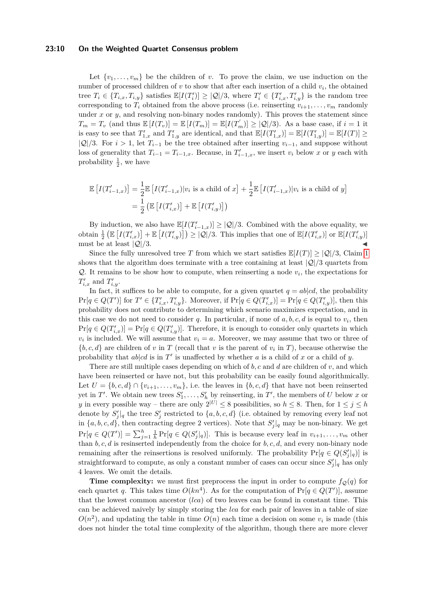#### **23:10 On the Weighted Quartet Consensus problem**

Let  $\{v_1, \ldots, v_m\}$  be the children of *v*. To prove the claim, we use induction on the number of processed children of *v* to show that after each insertion of a child *v<sup>i</sup>* , the obtained tree  $T_i \in \{T_{i,x}, T_{i,y}\}$  satisfies  $\mathbb{E}[I(T'_i)] \geq |\mathcal{Q}|/3$ , where  $T'_i \in \{T'_{i,x}, T'_{i,y}\}$  is the random tree corresponding to  $T_i$  obtained from the above process (i.e. reinserting  $v_{i+1}, \ldots, v_m$  randomly under *x* or *y*, and resolving non-binary nodes randomly). This proves the statement since  $T_m = T_v$  (and thus  $\mathbb{E}[I(T_v)] = \mathbb{E}[I(T_m)] = \mathbb{E}[I(T'_m)] \geq |\mathcal{Q}|/3$ ). As a base case, if  $i = 1$  it is easy to see that  $T'_{1,x}$  and  $T'_{1,y}$  are identical, and that  $\mathbb{E}[I(T'_{1,x})] = \mathbb{E}[I(T'_{1,y})] = \mathbb{E}[I(T)] \ge$  $|Q|/3$ . For  $i > 1$ , let  $T_{i-1}$  be the tree obtained after inserting  $v_{i-1}$ , and suppose without loss of generality that  $T_{i-1} = T_{i-1,x}$ . Because, in  $T'_{i-1,x}$ , we insert  $v_i$  below  $x$  or  $y$  each with probability  $\frac{1}{2}$ , we have

$$
\mathbb{E}\left[I(T'_{i-1,x})\right] = \frac{1}{2}\mathbb{E}\left[I(T'_{i-1,x})|v_i \text{ is a child of } x\right] + \frac{1}{2}\mathbb{E}\left[I(T'_{i-1,x})|v_i \text{ is a child of } y\right]
$$

$$
= \frac{1}{2}\left(\mathbb{E}\left[I(T'_{i,x})\right] + \mathbb{E}\left[I(T'_{i,y})\right]\right)
$$

By induction, we also have  $\mathbb{E}[I(T'_{i-1,x})] \geq |\mathcal{Q}|/3$ . Combined with the above equality, we obtain  $\frac{1}{2} \left( \mathbb{E} \left[ I(T'_{i,x}) \right] + \mathbb{E} \left[ I(T'_{i,y}) \right] \right) \geq |\mathcal{Q}|/3$ . This implies that one of  $\mathbb{E}[I(T'_{i,x})]$  or  $\mathbb{E}[I(T'_{i,y})]$ must be at least  $|Q|/3$ .

Since the fully unresolved tree *T* from which we start satisfies  $\mathbb{E}[I(T)] > |Q|/3$ , Claim [1](#page-8-1) shows that the algorithm does terminate with a tree containing at least  $|Q|/3$  quartets from  $Q$ . It remains to be show how to compute, when reinserting a node  $v_i$ , the expectations for  $T'_{i,x}$  and  $T'_{i,y}$ .

In fact, it suffices to be able to compute, for a given quartet  $q = ab | cd$ , the probability  $\Pr[q \in Q(T')]$  for  $T' \in \{T'_{i,x}, T'_{i,y}\}$ . Moreover, if  $\Pr[q \in Q(T'_{i,x})] = \Pr[q \in Q(T'_{i,y})]$ , then this probability does not contribute to determining which scenario maximizes expectation, and in this case we do not need to consider  $q$ . In particular, if none of  $a, b, c, d$  is equal to  $v_i$ , then  $Pr[q \in Q(T'_{i,x})] = Pr[q \in Q(T'_{i,y})]$ . Therefore, it is enough to consider only quartets in which  $v_i$  is included. We will assume that  $v_i = a$ . Moreover, we may assume that two or three of  ${b, c, d}$  are children of *v* in *T* (recall that *v* is the parent of  $v_i$  in *T*), because otherwise the probability that  $ab|cd$  is in  $T'$  is unaffected by whether  $a$  is a child of  $x$  or a child of  $y$ .

There are still multiple cases depending on which of *b, c* and *d* are children of *v*, and which have been reinserted or have not, but this probability can be easily found algorithmically. Let  $U = \{b, c, d\} \cap \{v_{i+1}, \ldots, v_m\}$ , i.e. the leaves in  $\{b, c, d\}$  that have not been reinserted yet in  $T'$ . We obtain new trees  $S'_1, \ldots, S'_h$  by reinserting, in  $T'$ , the members of *U* below *x* or *y* in every possible way – there are only  $2^{|U|} \leq 8$  possibilities, so  $h \leq 8$ . Then, for  $1 \leq j \leq h$ denote by  $S_j' \mid q$  the tree  $S_j'$  restricted to  $\{a, b, c, d\}$  (i.e. obtained by removing every leaf not in  $\{a, b, c, d\}$ , then contracting degree 2 vertices). Note that  $S'_{j}|_{q}$  may be non-binary. We get  $Pr[q \in Q(T')] = \sum_{j=1}^{h} \frac{1}{h} Pr[q \in Q(S'_{j}|q)]$ . This is because every leaf in  $v_{i+1}, \ldots, v_m$  other than *b, c, d* is resinserted independently from the choice for *b, c, d*, and every non-binary node remaining after the reinsertions is resolved uniformly. The probability  $Pr[q \in Q(S'_{j}|q)]$  is straightforward to compute, as only a constant number of cases can occur since  $S'_{j}|_{q}$  has only 4 leaves. We omit the details.

**Time complexity:** we must first preprocess the input in order to compute  $f_{\mathcal{Q}}(q)$  for each quartet *q*. This takes time  $O(kn^4)$ . As for the computation of  $Pr[q \in Q(T')]$ , assume that the lowest common ancestor (*lca*) of two leaves can be found in constant time. This can be achieved naively by simply storing the *lca* for each pair of leaves in a table of size  $O(n^2)$ , and updating the table in time  $O(n)$  each time a decision on some  $v_i$  is made (this does not hinder the total time complexity of the algorithm, though there are more clever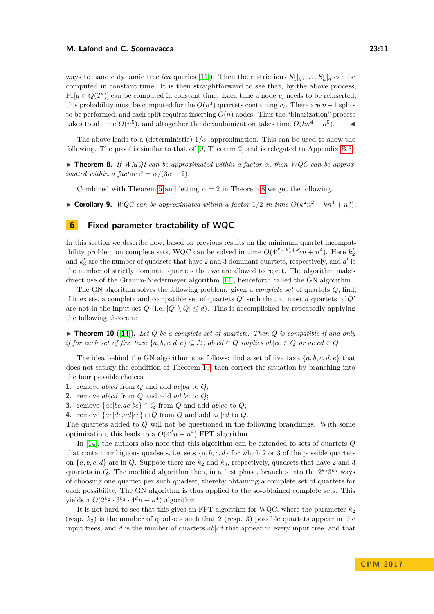ways to handle dynamic tree *lca* queries [\[11\]](#page-12-18)). Then the restrictions  $S'_1|_q, \ldots, S'_h|_q$  can be computed in constant time. It is then straightforward to see that, by the above process,  $Pr[q \in Q(T')]$  can be computed in constant time. Each time a node  $v_i$  needs to be reinserted, this probability must be computed for the  $O(n^3)$  quartets containing  $v_i$ . There are  $n-1$  splits to be performed, and each split requires inserting  $O(n)$  nodes. Thus the "binarization" process takes total time  $O(n^5)$ , and altogether the derandomization takes time  $O(kn^4 + n^5)$ .

The above leads to a (deterministic) 1*/*3- approximation. This can be used to show the following. The proof is similar to that of [\[9,](#page-12-9) Theorem 2] and is relegated to Appendix [B.3.](#page-17-1)

<span id="page-10-1"></span>**Theorem 8.** *If WMQI can be approximated within a factor*  $\alpha$ *, then WQC can be approximated within a factor*  $\beta = \alpha/(3\alpha - 2)$ *.* 

Combined with Theorem [5](#page-7-0) and letting  $\alpha = 2$  in Theorem [8](#page-10-1) we get the following.

▶ **Corollary 9.** *WQC can be approximated within a factor*  $1/2$  *in time*  $O(k^2n^2 + kn^4 + n^5)$ *.* 

### <span id="page-10-0"></span>**6 Fixed-parameter tractability of WQC**

In this section we describe how, based on previous results on the minimum quartet incompatibility problem on complete sets, WQC can be solved in time  $O(4^{d'+k'_2+k'_3}n + n^4)$ . Here  $k'_2$ and  $k_3$  are the number of quadsets that have 2 and 3 dominant quartets, respectively, and  $d'$  is the number of strictly dominant quartets that we are allowed to reject. The algorithm makes direct use of the Gramm-Niedermeyer algorithm [\[14\]](#page-12-12), henceforth called the GN algorithm.

The GN algorithm solves the following problem: given a *complete set* of quartets *Q*, find, if it exists, a complete and compatible set of quartets  $Q'$  such that at most  $d$  quartets of  $Q'$ are not in the input set  $Q$  (i.e.  $|Q' \setminus Q| \leq d$ ). This is accomplished by repeatedly applying the following theorem:

<span id="page-10-2"></span> $\triangleright$  **Theorem 10** ([\[14\]](#page-12-12)). Let Q be a complete set of quartets. Then Q is compatible if and only *if for each set of five taxa*  $\{a, b, c, d, e\} \subseteq \mathcal{X}$ ,  $ab | cd \in Q$  *implies*  $ab | ce \in Q$  *or*  $ae | cd \in Q$ *.* 

The idea behind the GN algorithm is as follows: find a set of five taxa  $\{a, b, c, d, e\}$  that does not satisfy the condition of Theorem [10,](#page-10-2) then correct the situation by branching into the four possible choices:

- **1.** remove ab|*cd* from *Q* and add  $ac|bd$  to *Q*;
- **2.** remove *ab*|*cd* from *Q* and add *ad*|*bc* to *Q*;
- **3.** remove  ${ac|bc,ae|bc} \cap Q$  from *Q* and add *ab*|*ce* to *Q*;
- **4.** remove  ${ac|de, ad|ce} \cap Q$  from *Q* and add  ${ae|cd}$  to *Q*.

The quartets added to *Q* will not be questioned in the following branchings. With some optimization, this leads to a  $O(4<sup>d</sup>n + n<sup>4</sup>)$  FPT algorithm.

In [\[14\]](#page-12-12), the authors also note that this algorithm can be extended to sets of quartets *Q* that contain ambiguous quadsets, i.e. sets  $\{a, b, c, d\}$  for which 2 or 3 of the possible quartets on  $\{a, b, c, d\}$  are in *Q*. Suppose there are  $k_2$  and  $k_3$ , respectively, quadsets that have 2 and 3 quartets in Q. The modified algorithm then, in a first phase, branches into the  $2^{k_2}3^{k_3}$  ways of choosing one quartet per such quadset, thereby obtaining a complete set of quartets for each possibility. The GN algorithm is thus applied to the so-obtained complete sets. This yields a  $O(2^{k_2} \cdot 3^{k_3} \cdot 4^d n + n^4)$  algorithm.

It is not hard to see that this gives an FPT algorithm for WQC, where the parameter  $k_2$ (resp.  $k_3$ ) is the number of quadsets such that 2 (resp. 3) possible quartets appear in the input trees, and *d* is the number of quartets *ab*|*cd* that appear in every input tree, and that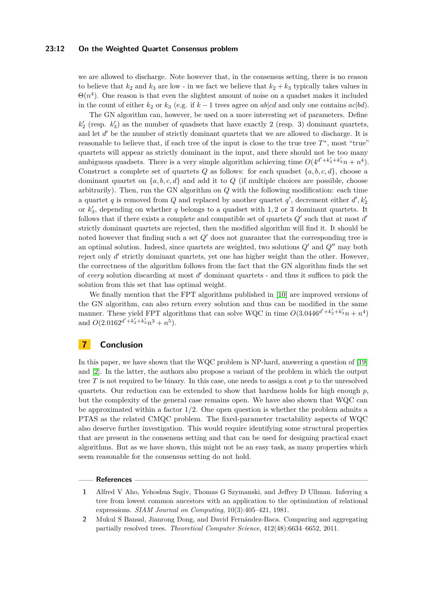#### **23:12 On the Weighted Quartet Consensus problem**

we are allowed to discharge. Note however that, in the consensus setting, there is no reason to believe that  $k_2$  and  $k_3$  are low - in we fact we believe that  $k_2 + k_3$  typically takes values in  $\Theta(n^4)$ . One reason is that even the slightest amount of noise on a quadset makes it included in the count of either  $k_2$  or  $k_3$  (e.g. if  $k-1$  trees agree on  $ab|cd$  and only one contains  $ac|bd$ ).

The GN algorithm can, however, be used on a more interesting set of parameters. Define  $k_2'$  (resp.  $k_3'$ ) as the number of quadsets that have exactly 2 (resp. 3) dominant quartets, and let d' be the number of strictly dominant quartets that we are allowed to discharge. It is reasonable to believe that, if each tree of the input is close to the true tree T<sup>∗</sup>, most "true" quartets will appear as strictly dominant in the input, and there should not be too many ambiguous quadsets. There is a very simple algorithm achieving time  $O(4^{d'+k'_2+k'_3}n + n^4)$ . Construct a complete set of quartets *Q* as follows: for each quadset  $\{a, b, c, d\}$ , choose a dominant quartet on  $\{a, b, c, d\}$  and add it to  $Q$  (if multiple choices are possible, choose arbitrarily). Then, run the GN algorithm on *Q* with the following modification: each time a quartet *q* is removed from *Q* and replaced by another quartet *q*', decrement either  $d'$ ,  $k'_2$ or  $k_3$ , depending on whether  $q$  belongs to a quadset with 1,2 or 3 dominant quartets. It follows that if there exists a complete and compatible set of quartets  $Q'$  such that at most  $d'$ strictly dominant quartets are rejected, then the modified algorithm will find it. It should be noted however that finding such a set  $Q'$  does not guarantee that the corresponding tree is an optimal solution. Indeed, since quartets are weighted, two solutions  $Q'$  and  $Q''$  may both reject only d' strictly dominant quartets, yet one has higher weight than the other. However, the correctness of the algorithm follows from the fact that the GN algorithm finds the set of *every* solution discarding at most *d* <sup>0</sup> dominant quartets - and thus it suffices to pick the solution from this set that has optimal weight.

We finally mention that the FPT algorithms published in [\[10\]](#page-12-13) are improved versions of the GN algorithm, can also return every solution and thus can be modified in the same manner. These yield FPT algorithms that can solve WQC in time  $O(3.0446^{d'+k'_2+k'_3}n + n^4)$ and  $O(2.0162^{d'+k'_2+k'_3}n^3 + n^5)$ .

# **7 Conclusion**

In this paper, we have shown that the WQC problem is NP-hard, answering a question of [\[19\]](#page-12-5) and [\[2\]](#page-11-0). In the latter, the authors also propose a variant of the problem in which the output tree *T* is not required to be binary. In this case, one needs to assign a cost *p* to the unresolved quartets. Our reduction can be extended to show that hardness holds for high enough  $p$ , but the complexity of the general case remains open. We have also shown that WQC can be approximated within a factor  $1/2$ . One open question is whether the problem admits a PTAS as the related CMQC problem. The fixed-parameter tractability aspects of WQC also deserve further investigation. This would require identifying some structural properties that are present in the consensus setting and that can be used for designing practical exact algorithms. But as we have shown, this might not be an easy task, as many properties which seem reasonable for the consensus setting do not hold.

### **References**

<span id="page-11-0"></span>**2** Mukul S Bansal, Jianrong Dong, and David Fernández-Baca. Comparing and aggregating partially resolved trees. *Theoretical Computer Science*, 412(48):6634–6652, 2011.

<span id="page-11-1"></span>**<sup>1</sup>** Alfred V Aho, Yehoshua Sagiv, Thomas G Szymanski, and Jeffrey D Ullman. Inferring a tree from lowest common ancestors with an application to the optimization of relational expressions. *SIAM Journal on Computing*, 10(3):405–421, 1981.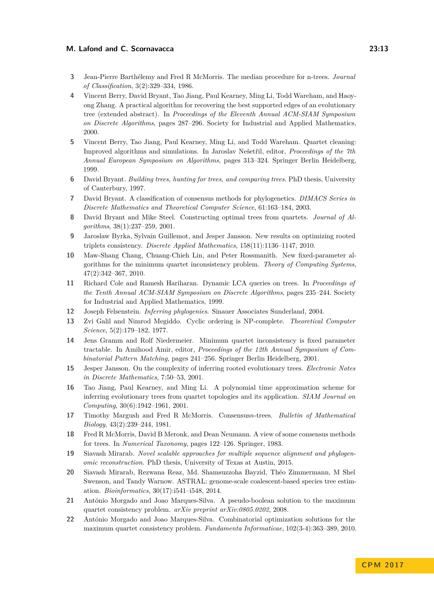- <span id="page-12-3"></span>**3** Jean-Pierre Barthélemy and Fred R McMorris. The median procedure for n-trees. *Journal of Classification*, 3(2):329–334, 1986.
- <span id="page-12-11"></span>**4** Vincent Berry, David Bryant, Tao Jiang, Paul Kearney, Ming Li, Todd Wareham, and Haoyong Zhang. A practical algorithm for recovering the best supported edges of an evolutionary tree (extended abstract). In *Proceedings of the Eleventh Annual ACM-SIAM Symposium on Discrete Algorithms*, pages 287–296. Society for Industrial and Applied Mathematics, 2000.
- <span id="page-12-10"></span>**5** Vincent Berry, Tao Jiang, Paul Kearney, Ming Li, and Todd Wareham. Quartet cleaning: Improved algorithms and simulations. In Jaroslav Nešetřil, editor, *Proceedings of the 7th Annual European Symposium on Algorithms*, pages 313–324. Springer Berlin Heidelberg, 1999.
- <span id="page-12-19"></span>**6** David Bryant. *Building trees, hunting for trees, and comparing trees*. PhD thesis, University of Canterbury, 1997.
- <span id="page-12-4"></span>**7** David Bryant. A classification of consensus methods for phylogenetics. *DIMACS Series in Discrete Mathematics and Theoretical Computer Science*, 61:163–184, 2003.
- <span id="page-12-8"></span>**8** David Bryant and Mike Steel. Constructing optimal trees from quartets. *Journal of Algorithms*, 38(1):237–259, 2001.
- <span id="page-12-9"></span>**9** Jaroslaw Byrka, Sylvain Guillemot, and Jesper Jansson. New results on optimizing rooted triplets consistency. *Discrete Applied Mathematics*, 158(11):1136–1147, 2010.
- <span id="page-12-13"></span>**10** Maw-Shang Chang, Chuang-Chieh Lin, and Peter Rossmanith. New fixed-parameter algorithms for the minimum quartet inconsistency problem. *Theory of Computing Systems*, 47(2):342–367, 2010.
- <span id="page-12-18"></span>**11** Richard Cole and Ramesh Hariharan. Dynamic LCA queries on trees. In *Proceedings of the Tenth Annual ACM-SIAM Symposium on Discrete Algorithms*, pages 235–244. Society for Industrial and Applied Mathematics, 1999.
- <span id="page-12-0"></span>**12** Joseph Felsenstein. *Inferring phylogenies*. Sinauer Associates Sunderland, 2004.
- <span id="page-12-17"></span>**13** Zvi Galil and Nimrod Megiddo. Cyclic ordering is NP-complete. *Theoretical Computer Science*, 5(2):179–182, 1977.
- <span id="page-12-12"></span>**14** Jens Gramm and Rolf Niedermeier. Minimum quartet inconsistency is fixed parameter tractable. In Amihood Amir, editor, *Proceedings of the 12th Annual Symposium of Combinatorial Pattern Matching*, pages 241–256. Springer Berlin Heidelberg, 2001.
- <span id="page-12-16"></span>**15** Jesper Jansson. On the complexity of inferring rooted evolutionary trees. *Electronic Notes in Discrete Mathematics*, 7:50–53, 2001.
- <span id="page-12-6"></span>**16** Tao Jiang, Paul Kearney, and Ming Li. A polynomial time approximation scheme for inferring evolutionary trees from quartet topologies and its application. *SIAM Journal on Computing*, 30(6):1942–1961, 2001.
- <span id="page-12-2"></span>**17** Timothy Margush and Fred R McMorris. Consensus*n*-trees. *Bulletin of Mathematical Biology*, 43(2):239–244, 1981.
- <span id="page-12-1"></span>**18** Fred R McMorris, David B Meronk, and Dean Neumann. A view of some consensus methods for trees. In *Numerical Taxonomy*, pages 122–126. Springer, 1983.
- <span id="page-12-5"></span>**19** Siavash Mirarab. *Novel scalable approaches for multiple sequence alignment and phylogenomic reconstruction*. PhD thesis, University of Texas at Austin, 2015.
- <span id="page-12-7"></span>**20** Siavash Mirarab, Rezwana Reaz, Md. Shamsuzzoha Bayzid, Théo Zimmermann, M Shel Swenson, and Tandy Warnow. ASTRAL: genome-scale coalescent-based species tree estimation. *Bioinformatics*, 30(17):i541–i548, 2014.
- <span id="page-12-14"></span>**21** António Morgado and Joao Marques-Silva. A pseudo-boolean solution to the maximum quartet consistency problem. *arXiv preprint arXiv:0805.0202*, 2008.
- <span id="page-12-15"></span>**22** António Morgado and Joao Marques-Silva. Combinatorial optimization solutions for the maximum quartet consistency problem. *Fundamenta Informaticae*, 102(3-4):363–389, 2010.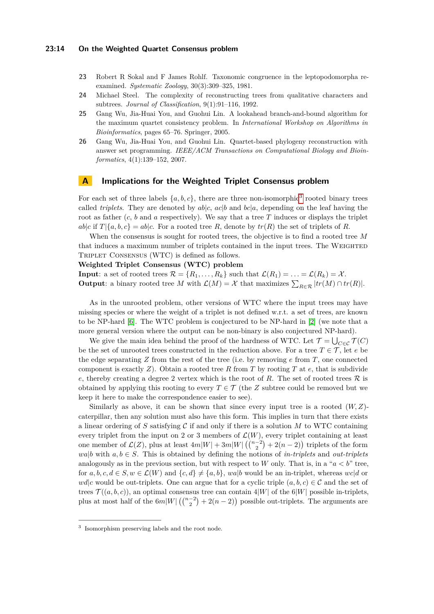- <span id="page-13-0"></span>**23** Robert R Sokal and F James Rohlf. Taxonomic congruence in the leptopodomorpha reexamined. *Systematic Zoology*, 30(3):309–325, 1981.
- <span id="page-13-1"></span>**24** Michael Steel. The complexity of reconstructing trees from qualitative characters and subtrees. *Journal of Classification*, 9(1):91–116, 1992.
- <span id="page-13-2"></span>**25** Gang Wu, Jia-Huai You, and Guohui Lin. A lookahead branch-and-bound algorithm for the maximum quartet consistency problem. In *International Workshop on Algorithms in Bioinformatics*, pages 65–76. Springer, 2005.
- <span id="page-13-3"></span>**26** Gang Wu, Jia-Huai You, and Guohui Lin. Quartet-based phylogeny reconstruction with answer set programming. *IEEE/ACM Transactions on Computational Biology and Bioinformatics*, 4(1):139–152, 2007.

### <span id="page-13-4"></span>**A Implications for the Weighted Triplet Consensus problem**

For each set of three labels  $\{a, b, c\}$ , there are three non-isomorphic<sup>[3](#page-13-5)</sup> rooted binary trees called *triplets*. They are denoted by  $ab|c$ ,  $ac|b$  and  $bc|a$ , depending on the leaf having the root as father (*c*, *b* and *a* respectively). We say that a tree *T* induces or displays the triplet  $ab|c$  if  $T|\{a,b,c\} = ab|c$ . For a rooted tree *R*, denote by  $tr(R)$  the set of triplets of *R*.

When the consensus is sought for rooted trees, the objective is to find a rooted tree *M* that induces a maximum number of triplets contained in the input trees. The WEIGHTED Triplet Consensus (WTC) is defined as follows.

#### **Weighted Triplet Consensus (WTC) problem**

**Input**: a set of rooted trees  $\mathcal{R} = \{R_1, \ldots, R_k\}$  such that  $\mathcal{L}(R_1) = \ldots = \mathcal{L}(R_k) = \mathcal{X}$ . **Output**: a binary rooted tree *M* with  $\mathcal{L}(M) = \mathcal{X}$  that maximizes  $\sum_{R \in \mathcal{R}} |tr(M) \cap tr(R)|$ .

As in the unrooted problem, other versions of WTC where the input trees may have missing species or where the weight of a triplet is not defined w.r.t. a set of trees, are known to be NP-hard [\[6\]](#page-12-19). The WTC problem is conjectured to be NP-hard in [\[2\]](#page-11-0) (we note that a more general version where the output can be non-binary is also conjectured NP-hard).

We give the main idea behind the proof of the hardness of WTC. Let  $\mathcal{T} = \bigcup_{C \in \mathcal{C}} \mathcal{T}(C)$ be the set of unrooted trees constructed in the reduction above. For a tree  $T \in \mathcal{T}$ , let *e* be the edge separating *Z* from the rest of the tree (i.e. by removing *e* from *T*, one connected component is exactly  $Z$ ). Obtain a rooted tree  $R$  from  $T$  by rooting  $T$  at  $e$ , that is subdivide *e*, thereby creating a degree 2 vertex which is the root of  $R$ . The set of rooted trees  $R$  is obtained by applying this rooting to every  $T \in \mathcal{T}$  (the *Z* subtree could be removed but we keep it here to make the correspondence easier to see).

Similarly as above, it can be shown that since every input tree is a rooted (*W, Z*) caterpillar, then any solution must also have this form. This implies in turn that there exists a linear ordering of  $S$  satisfying  $\mathcal C$  if and only if there is a solution  $M$  to WTC containing every triplet from the input on 2 or 3 members of  $\mathcal{L}(W)$ , every triplet containing at least one member of  $\mathcal{L}(Z)$ , plus at least  $4m|W| + 3m|W|(\binom{n-2}{2} + 2(n-2))$  triplets of the form *wa*|*b* with  $a, b \in S$ . This is obtained by defining the notions of *in-triplets* and *out-triplets* analogously as in the previous section, but with respect to *W* only. That is, in a " $a < b$ " tree, for  $a, b, c, d \in S, w \in \mathcal{L}(W)$  and  $\{c, d\} \neq \{a, b\}$ , walk would be an in-triplet, whereas  $wcld$  or *wd*|*c* would be out-triplets. One can argue that for a cyclic triple  $(a, b, c) \in \mathcal{C}$  and the set of trees  $\mathcal{T}((a, b, c))$ , an optimal consensus tree can contain  $4|W|$  of the 6|W| possible in-triplets, plus at most half of the  $6m|W|$   $\left(\binom{n-2}{2} + 2(n-2)\right)$  possible out-triplets. The arguments are

<span id="page-13-5"></span><sup>3</sup> Isomorphism preserving labels and the root node.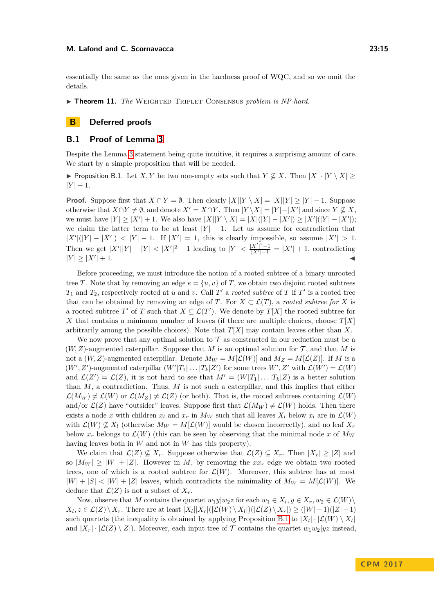essentially the same as the ones given in the hardness proof of WQC, and so we omit the details.

▶ **Theorem 11.** *The* WEIGHTED TRIPLET CONSENSUS *problem is NP-hard.* 

# **B Deferred proofs**

### <span id="page-14-0"></span>**B.1 Proof of Lemma [3](#page-5-0)**

Despite the Lemma [3](#page-5-0) statement being quite intuitive, it requires a surprising amount of care. We start by a simple proposition that will be needed.

<span id="page-14-1"></span>▶ Proposition B.1. Let *X,Y* be two non-empty sets such that  $Y \nsubseteq X$ . Then  $|X| \cdot |Y \setminus X|$  $|Y| - 1.$ 

**Proof.** Suppose first that  $X \cap Y = \emptyset$ . Then clearly  $|X||Y \setminus X| = |X||Y| \ge |Y| - 1$ . Suppose otherwise that  $X \cap Y \neq \emptyset$ , and denote  $X' = X \cap Y$ . Then  $|Y \setminus X| = |Y| - |X'|$  and since  $Y \not\subseteq X$ , we must have  $|Y| \ge |X'| + 1$ . We also have  $|X||Y \setminus X| = |X|(|Y| - |X'|) \ge |X'|(|Y| - |X'|);$ we claim the latter term to be at least  $|Y| - 1$ . Let us assume for contradiction that  $|X'||(|Y| - |X'|) < |Y| - 1$ . If  $|X'| = 1$ , this is clearly impossible, so assume  $|X'| > 1$ . Then we get  $|X'||Y| - |Y| < |X'|^2 - 1$  leading to  $|Y| < \frac{|X'|^2 - 1}{|Y'| - 1}$  $\frac{|X'|^2-1}{|X'|-1} = |X'| + 1$ , contradicting  $|Y| \ge |X'| + 1.$  $|+1.$ 

Before proceeding, we must introduce the notion of a rooted subtree of a binary unrooted tree *T*. Note that by removing an edge  $e = \{u, v\}$  of *T*, we obtain two disjoint rooted subtrees  $T_1$  and  $T_2$ , respectively rooted at *u* and *v*. Call  $T'$  a *rooted subtree* of  $T$  if  $T'$  is a rooted tree that can be obtained by removing an edge of *T*. For  $X \subset \mathcal{L}(T)$ , a *rooted subtree for X* is a rooted subtree *T*' of *T* such that  $X \subseteq \mathcal{L}(T')$ . We denote by  $T[X]$  the rooted subtree for *X* that contains a minimum number of leaves (if there are multiple choices, choose *T*[*X*] arbitrarily among the possible choices). Note that *T*[*X*] may contain leaves other than *X*.

We now prove that any optimal solution to  $\mathcal T$  as constructed in our reduction must be a  $(W, Z)$ -augmented caterpillar. Suppose that M is an optimal solution for  $\mathcal{T}$ , and that M is not a  $(W, Z)$ -augmented caterpillar. Denote  $M_W = M[\mathcal{L}(W)]$  and  $M_Z = M[\mathcal{L}(Z)]$ . If M is a  $(W', Z')$ -augmented caterpillar  $(W'|T_1| \dots |T_k|Z')$  for some trees  $W', Z'$  with  $\mathcal{L}(W') = \mathcal{L}(W)$ and  $\mathcal{L}(Z') = \mathcal{L}(Z)$ , it is not hard to see that  $M' = (W|T_1| \dots |T_k|Z)$  is a better solution than *M*, a contradiction. Thus, *M* is not such a caterpillar, and this implies that either  $\mathcal{L}(M_W) \neq \mathcal{L}(W)$  or  $\mathcal{L}(M_Z) \neq \mathcal{L}(Z)$  (or both). That is, the rooted subtrees containing  $\mathcal{L}(W)$ and/or  $\mathcal{L}(Z)$  have "outsider" leaves. Suppose first that  $\mathcal{L}(M_W) \neq \mathcal{L}(W)$  holds. Then there exists a node *x* with children  $x_l$  and  $x_r$  in  $M_W$  such that all leaves  $X_l$  below  $x_l$  are in  $\mathcal{L}(W)$ with  $\mathcal{L}(W) \not\subseteq X_l$  (otherwise  $M_W = M[\mathcal{L}(W)]$  would be chosen incorrectly), and no leaf  $X_r$ below  $x_r$  belongs to  $\mathcal{L}(W)$  (this can be seen by observing that the minimal node x of  $M_W$ having leaves both in *W* and not in *W* has this property).

We claim that  $\mathcal{L}(Z) \nsubseteq X_r$ . Suppose otherwise that  $\mathcal{L}(Z) \subseteq X_r$ . Then  $|X_r| \geq |Z|$  and so  $|M_W| \geq |W| + |Z|$ . However in *M*, by removing the  $xx_r$  edge we obtain two rooted trees, one of which is a rooted subtree for  $\mathcal{L}(W)$ . Moreover, this subtree has at most  $|W| + |S| < |W| + |Z|$  leaves, which contradicts the minimality of  $M_W = M[\mathcal{L}(W)]$ . We deduce that  $\mathcal{L}(Z)$  is not a subset of  $X_r$ .

Now, observe that *M* contains the quartet  $w_1y|w_2z$  for each  $w_1 \in X_l, y \in X_r, w_2 \in \mathcal{L}(W) \setminus$  $X_l, z \in \mathcal{L}(Z) \setminus X_r$ . There are at least  $|X_l||X_r|(|\mathcal{L}(W) \setminus X_l|)(|\mathcal{L}(Z) \setminus X_r|) \ge (|W|-1)(|Z|-1)$ such quartets (the inequality is obtained by applying Proposition [B.1](#page-14-1) to  $|X_l| \cdot |\mathcal{L}(W) \setminus X_l|$ and  $|X_r| \cdot |\mathcal{L}(Z) \setminus Z|$ . Moreover, each input tree of  $\mathcal T$  contains the quartet  $w_1w_2|yz$  instead,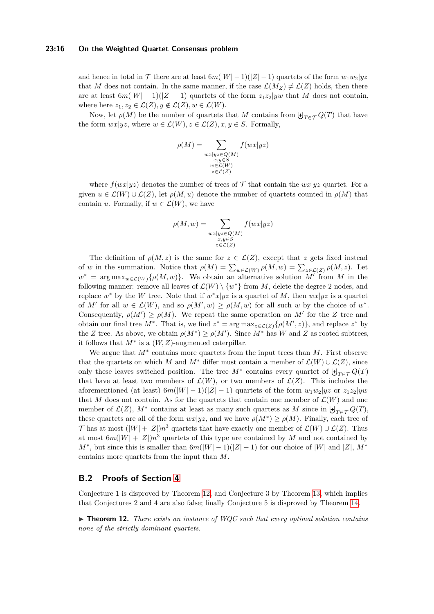#### **23:16 On the Weighted Quartet Consensus problem**

and hence in total in  $\mathcal{T}$  there are at least  $6m(|W|-1)(|Z|-1)$  quartets of the form  $w_1w_2|yz$ that *M* does not contain. In the same manner, if the case  $\mathcal{L}(M_Z) \neq \mathcal{L}(Z)$  holds, then there are at least  $6m(|W| - 1)(|Z| - 1)$  quartets of the form  $z_1z_2|yw$  that M does not contain, where here  $z_1, z_2 \in \mathcal{L}(Z), y \notin \mathcal{L}(Z), w \in \mathcal{L}(W)$ .

Now, let  $\rho(M)$  be the number of quartets that *M* contains from  $\biguplus_{T \in \mathcal{T}} Q(T)$  that have the form  $wx|yz$ , where  $w \in \mathcal{L}(W)$ ,  $z \in \mathcal{L}(Z)$ ,  $x, y \in S$ . Formally,

$$
\rho(M) = \sum_{\substack{w \ge |y \ge \in Q(M) \\ x, y \in S \\ w \in \mathcal{L}(W) \\ z \in \mathcal{L}(Z)}} f(wx |yz)
$$

where  $f(wx|yz)$  denotes the number of trees of  $\mathcal T$  that contain the  $wx|yz$  quartet. For a given  $u \in \mathcal{L}(W) \cup \mathcal{L}(Z)$ , let  $\rho(M, u)$  denote the number of quartets counted in  $\rho(M)$  that contain *u*. Formally, if  $w \in \mathcal{L}(W)$ , we have

$$
\rho(M, w) = \sum_{\substack{wx|yz \in Q(M) \\ x, y \in S \\ z \in \mathcal{L}(Z)}} f(wx|yz)
$$

The definition of  $\rho(M, z)$  is the same for  $z \in \mathcal{L}(Z)$ , except that z gets fixed instead of *w* in the summation. Notice that  $\rho(M) = \sum_{w \in \mathcal{L}(W)} \rho(M, w) = \sum_{z \in \mathcal{L}(Z)} \rho(M, z)$ . Let  $w^* = \arg \max_{w \in \mathcal{L}(W)} \{\rho(M, w)\}.$  We obtain an alternative solution M<sup>o</sup> from M in the following manner: remove all leaves of  $\mathcal{L}(W) \setminus \{w^*\}$  from M, delete the degree 2 nodes, and replace  $w^*$  by the *W* tree. Note that if  $w^*x|yz$  is a quartet of *M*, then  $wx|yz$  is a quartet of *M'* for all  $w \in \mathcal{L}(W)$ , and so  $\rho(M', w) \ge \rho(M, w)$  for all such *w* by the choice of  $w^*$ . Consequently,  $\rho(M') \geq \rho(M)$ . We repeat the same operation on M' for the Z tree and obtain our final tree  $M^*$ . That is, we find  $z^* = \arg \max_{z \in \mathcal{L}(Z)} \{\rho(M', z)\}\)$ , and replace  $z^*$  by the *Z* tree. As above, we obtain  $\rho(M^*) \ge \rho(M')$ . Since  $M^*$  has *W* and *Z* as rooted subtrees, it follows that  $M^*$  is a  $(W, Z)$ -augmented caterpillar.

We argue that *M*<sup>∗</sup> contains more quartets from the input trees than *M*. First observe that the quartets on which *M* and  $M^*$  differ must contain a member of  $\mathcal{L}(W) \cup \mathcal{L}(Z)$ , since only these leaves switched position. The tree  $M^*$  contains every quartet of  $\biguplus_{T \in \mathcal{T}} Q(T)$ that have at least two members of  $\mathcal{L}(W)$ , or two members of  $\mathcal{L}(Z)$ . This includes the aforementioned (at least)  $6m(|W| - 1)(|Z| - 1)$  quartets of the form  $w_1w_2|yz$  or  $z_1z_2|yw$ that *M* does not contain. As for the quartets that contain one member of  $\mathcal{L}(W)$  and one member of  $\mathcal{L}(Z)$ ,  $M^*$  contains at least as many such quartets as  $M$  since in  $\biguplus_{T \in \mathcal{T}} Q(T)$ , these quartets are all of the form  $wx|yz$ , and we have  $\rho(M^*) \ge \rho(M)$ . Finally, each tree of T has at most  $(|W| + |Z|)n^3$  quartets that have exactly one member of  $\mathcal{L}(W) \cup \mathcal{L}(Z)$ . Thus at most  $6m(|W| + |Z|)n^3$  quartets of this type are contained by *M* and not contained by  $M^*$ , but since this is smaller than  $6m(|W|-1)(|Z|-1)$  for our choice of  $|W|$  and  $|Z|$ ,  $M^*$ contains more quartets from the input than *M*.

# <span id="page-15-0"></span>**B.2 Proofs of Section [4](#page-6-0)**

Conjecture 1 is disproved by Theorem [12,](#page-15-1) and Conjecture 3 by Theorem [13,](#page-16-0) which implies that Conjectures 2 and 4 are also false; finally Conjecture 5 is disproved by Theorem [14.](#page-17-2)

<span id="page-15-1"></span> $\triangleright$  **Theorem 12.** *There exists an instance of WQC such that every optimal solution contains none of the strictly dominant quartets.*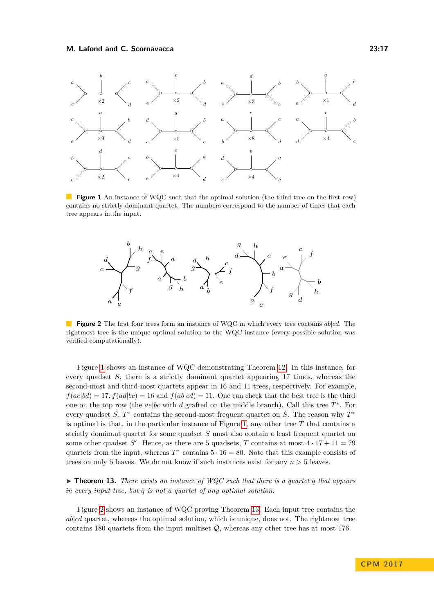<span id="page-16-1"></span>

**Figure 1** An instance of WQC such that the optimal solution (the third tree on the first row) contains no strictly dominant quartet. The numbers correspond to the number of times that each tree appears in the input.

<span id="page-16-2"></span>

**Figure 2** The first four trees form an instance of WQC in which every tree contains *ab*|*cd*. The rightmost tree is the unique optimal solution to the WQC instance (every possible solution was verified computationally).

Figure [1](#page-16-1) shows an instance of WQC demonstrating Theorem [12.](#page-15-1) In this instance, for every quadset *S*, there is a strictly dominant quartet appearing 17 times, whereas the second-most and third-most quartets appear in 16 and 11 trees, respectively. For example,  $f(ac|bd) = 17, f(ad|bc) = 16$  and  $f(ab|cd) = 11$ . One can check that the best tree is the third one on the top row (the *ae*|*bc* with *d* grafted on the middle branch). Call this tree *T* ∗ . For every quadset *S*,  $T^*$  contains the second-most frequent quartet on *S*. The reason why  $T^*$ is optimal is that, in the particular instance of Figure [1,](#page-16-1) any other tree *T* that contains a strictly dominant quartet for some quadset *S* must also contain a least frequent quartet on some other quadset *S'*. Hence, as there are 5 quadsets, *T* contains at most  $4 \cdot 17 + 11 = 79$ quartets from the input, whereas  $T^*$  contains  $5 \cdot 16 = 80$ . Note that this example consists of trees on only 5 leaves. We do not know if such instances exist for any *n >* 5 leaves.

<span id="page-16-0"></span> $\triangleright$  **Theorem 13.** *There exists an instance of WQC such that there is a quartet q that appears in every input tree, but q is not a quartet of any optimal solution.*

Figure [2](#page-16-2) shows an instance of WQC proving Theorem [13.](#page-16-0) Each input tree contains the *ab*|*cd* quartet, whereas the optimal solution, which is unique, does not. The rightmost tree contains 180 quartets from the input multiset Q, whereas any other tree has at most 176.